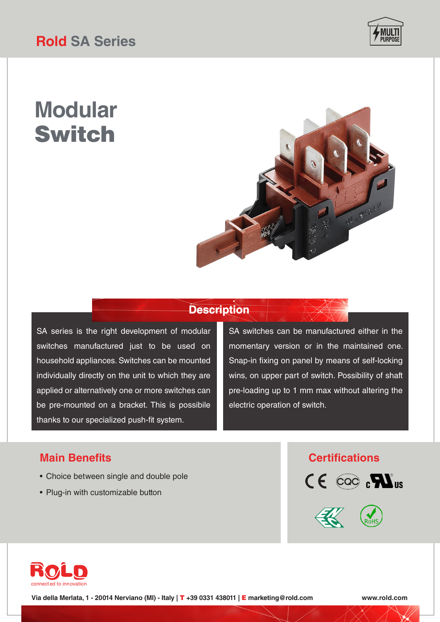

# **Modular** Switch



## **Description**

SA series is the right development of modular switches manufactured just to be used on household appliances. Switches can be mounted individually directly on the unit to which they are applied or alternatively one or more switches can be pre-mounted on a bracket. This is possibile thanks to our specialized push-fit system.

SA switches can be manufactured either in the momentary version or in the maintained one. Snap-in fixing on panel by means of self-locking wins, on upper part of switch. Possibility of shaft pre-loading up to 1 mm max without altering the electric operation of switch.

### **Main Benefits Certifications**

- Choice between single and double pole
- Plug-in with customizable button







**Via della Merlata, 1 - 20014 Nerviano (MI) - Italy |** T **+39 0331 438011 |** E **marketing@rold.com www.rold.com**